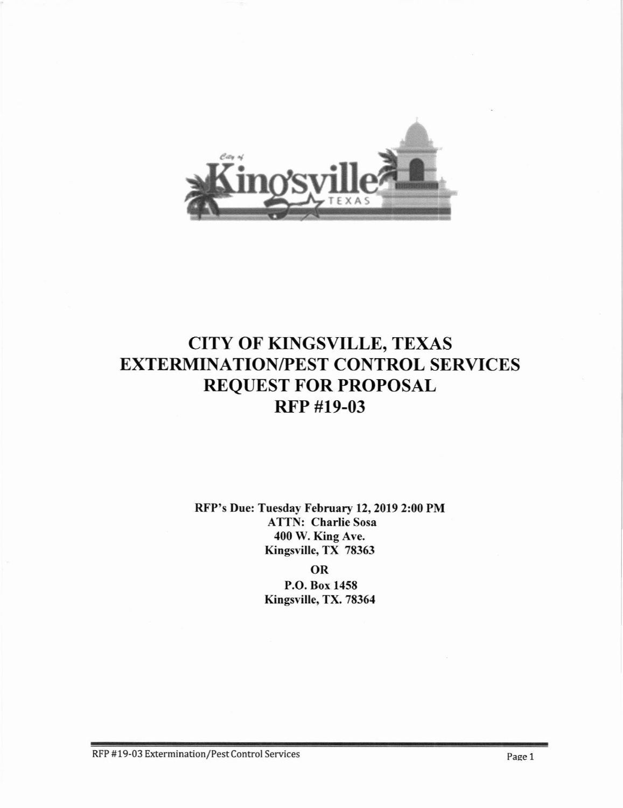

# CITY OF KINGSYILLE, TEXAS EXTERMINATION/PEST CONTROL SERVICES REQUEST FOR PROPOSAL RFP #19-03

RFP's Due: Tuesday February 12,2019 2:00 PM ATTN: Charlie Sosa 400 W. King Ave. Kingsville, TX 78363

> OR P.O. Box 1458 Kingsville, TX. 78364

RFP #19-03 Extermination/Pest Control Services Page 1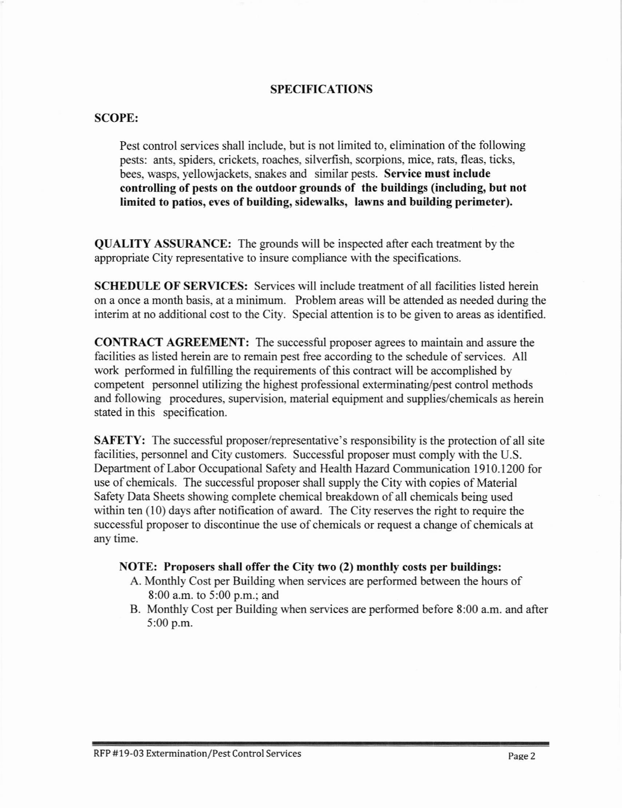### SPECIFICATIONS

#### SCOPE:

Pest control services shall include, but is not limited to, elimination of the following pests: ants. spiders, crickets, roaches, silverfish, scorpions. mice. rats, fleas, ticks, bees, wasps, yellowjackets, snakes and similar pests. Service must include controlling of pests on the outdoor grounds of the buildings (including, but not limited to patios, eves of building, sidewalks, lawns and building perimeter).

QUALITY ASSURANCE: The grounds will be inspected after each treatment by the appropriate City representative to insure compliance with the specifications.

SCHEDIILE OF SERVICES: Services will include treatment of all facilities listed herein on a once a month basis, at a minimum. Problem areas will be attended as needed during the interim at no additional cost to the City. Special attention is to be given to areas as identified.

CONTRACT AGREEMENT: The successful proposer agrees to maintain and assure the facilities as listed herein are to remain pest free according to the schedule of services. All work performed in fulfilling the requirements of this contract will be accomplished by competent personnel utilizing the highest professional exterminating/pest control methods and following procedures, supervision. material equipment and supplies/chemicals as herein stated in this specification.

**SAFETY:** The successful proposer/representative's responsibility is the protection of all site facilities, personnel and City customers. Successful proposer must comply with the U.S. Department of Labor Occupational Safety and Health Hazard Communication 1910.1200 for use of chemicals. The successful proposer shall supply the City with copies of Material Safety Data Sheets showing complete chemical breakdown of all chemicals being used within ten  $(10)$  days after notification of award. The City reserves the right to require the successful proposer to discontinue the use of chemicals or request a change of chemicals at any time.

#### NOTE: Proposers shall offer the City two (2) monthly costs per buildings:

- A. Monthly Cost per Building when services are performed between the hours of 8:00 a.m. to 5:00 p.m.; and
- B. Monthly Cost per Building when services are performed before 8:00 a.m. and after 5:00 p.m.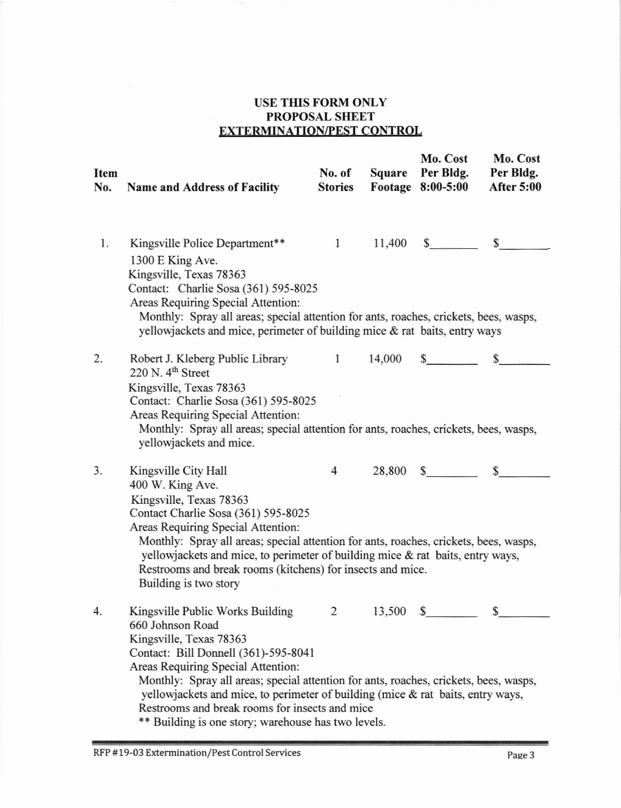## USE THIS FORM ONLY PROPOSAL SHEET EXTERMINATION/PEST CONTROL

| Item<br>No. | <b>Name and Address of Facility</b>                                                                                                                                                                                                                                                                                                                                                                                                                | No. of<br><b>Stories</b> | Square | Mo. Cost<br>Per Bldg.<br>Footage 8:00-5:00 | Mo. Cost<br>Per Bldg.<br><b>After 5:00</b> |
|-------------|----------------------------------------------------------------------------------------------------------------------------------------------------------------------------------------------------------------------------------------------------------------------------------------------------------------------------------------------------------------------------------------------------------------------------------------------------|--------------------------|--------|--------------------------------------------|--------------------------------------------|
| 1.          | Kingsville Police Department**<br>1300 E King Ave.<br>Kingsville, Texas 78363<br>Contact: Charlie Sosa (361) 595-8025<br>Areas Requiring Special Attention:<br>Monthly: Spray all areas; special attention for ants, roaches, crickets, bees, wasps,<br>yellowjackets and mice, perimeter of building mice & rat baits, entry ways                                                                                                                 |                          |        | $1 \t11,400 \t$$ \$                        |                                            |
| 2.          | Robert J. Kleberg Public Library 1 14,000 \$<br>$220$ N. $4th$ Street<br>Kingsville, Texas 78363<br>Contact: Charlie Sosa (361) 595-8025<br>Areas Requiring Special Attention:<br>Monthly: Spray all areas; special attention for ants, roaches, crickets, bees, wasps,<br>yellowjackets and mice.                                                                                                                                                 |                          |        |                                            |                                            |
| 3.          | Kingsville City Hall<br>400 W. King Ave.<br>Kingsville, Texas 78363<br>Contact Charlie Sosa (361) 595-8025<br>Areas Requiring Special Attention:<br>Monthly: Spray all areas; special attention for ants, roaches, crickets, bees, wasps,<br>yellowjackets and mice, to perimeter of building mice & rat baits, entry ways,<br>Restrooms and break rooms (kitchens) for insects and mice.<br>Building is two story                                 |                          |        | $4\quad 28,800\quad$ \$                    | $\mathbb{S}$                               |
| 4.          | Kingsville Public Works Building<br>660 Johnson Road<br>Kingsville, Texas 78363<br>Contact: Bill Donnell (361)-595-8041<br>Areas Requiring Special Attention:<br>Monthly: Spray all areas; special attention for ants, roaches, crickets, bees, wasps,<br>yellowjackets and mice, to perimeter of building (mice & rat baits, entry ways,<br>Restrooms and break rooms for insects and mice<br>** Building is one story; warehouse has two levels. | $\overline{2}$           | 13,500 | $\mathbb{S}$                               | \$                                         |